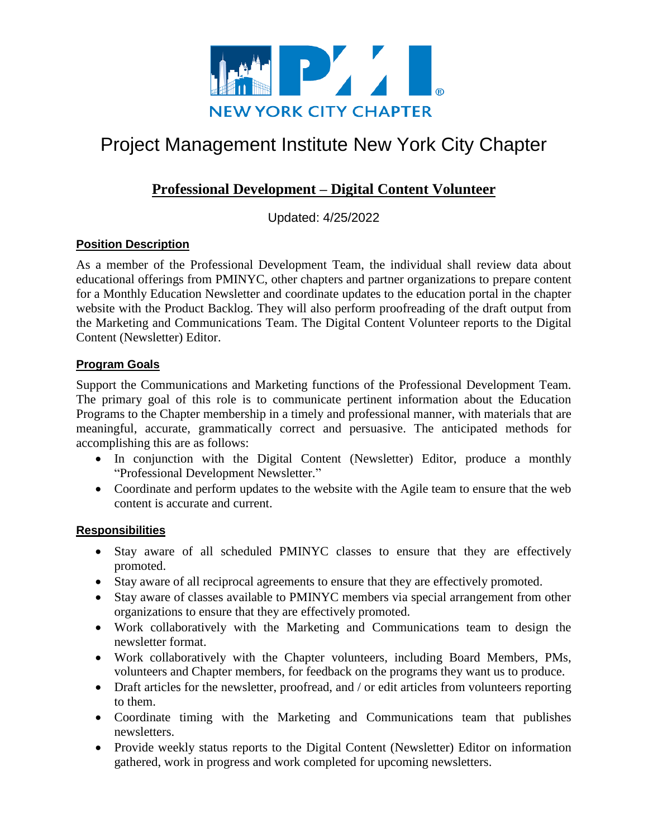

# Project Management Institute New York City Chapter

# **Professional Development – Digital Content Volunteer**

Updated: 4/25/2022

# **Position Description**

As a member of the Professional Development Team, the individual shall review data about educational offerings from PMINYC, other chapters and partner organizations to prepare content for a Monthly Education Newsletter and coordinate updates to the education portal in the chapter website with the Product Backlog. They will also perform proofreading of the draft output from the Marketing and Communications Team. The Digital Content Volunteer reports to the Digital Content (Newsletter) Editor.

# **Program Goals**

Support the Communications and Marketing functions of the Professional Development Team. The primary goal of this role is to communicate pertinent information about the Education Programs to the Chapter membership in a timely and professional manner, with materials that are meaningful, accurate, grammatically correct and persuasive. The anticipated methods for accomplishing this are as follows:

- In conjunction with the Digital Content (Newsletter) Editor, produce a monthly "Professional Development Newsletter."
- Coordinate and perform updates to the website with the Agile team to ensure that the web content is accurate and current.

## **Responsibilities**

- Stay aware of all scheduled PMINYC classes to ensure that they are effectively promoted.
- Stay aware of all reciprocal agreements to ensure that they are effectively promoted.
- Stay aware of classes available to PMINYC members via special arrangement from other organizations to ensure that they are effectively promoted.
- Work collaboratively with the Marketing and Communications team to design the newsletter format.
- Work collaboratively with the Chapter volunteers, including Board Members, PMs, volunteers and Chapter members, for feedback on the programs they want us to produce.
- Draft articles for the newsletter, proofread, and / or edit articles from volunteers reporting to them.
- Coordinate timing with the Marketing and Communications team that publishes newsletters.
- Provide weekly status reports to the Digital Content (Newsletter) Editor on information gathered, work in progress and work completed for upcoming newsletters.